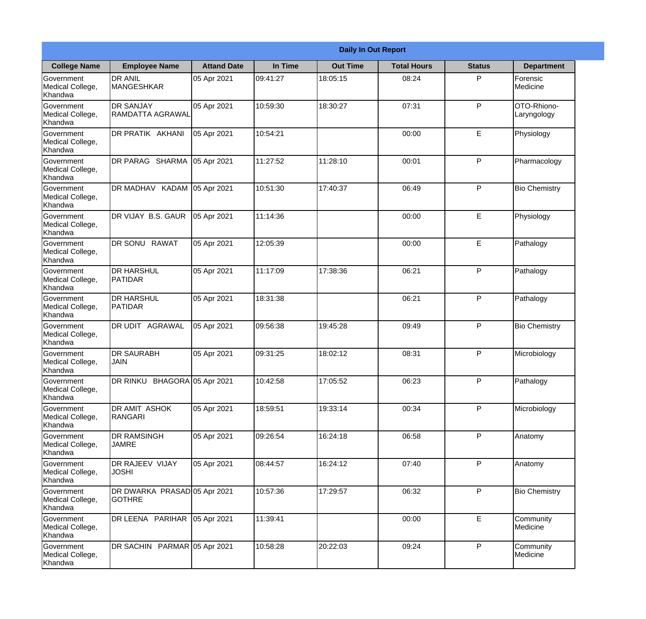|                                                  | <b>Daily In Out Report</b>                    |                    |          |                 |                    |               |                            |  |  |
|--------------------------------------------------|-----------------------------------------------|--------------------|----------|-----------------|--------------------|---------------|----------------------------|--|--|
| <b>College Name</b>                              | <b>Employee Name</b>                          | <b>Attand Date</b> | In Time  | <b>Out Time</b> | <b>Total Hours</b> | <b>Status</b> | <b>Department</b>          |  |  |
| Government<br>Medical College,<br>Khandwa        | <b>DR ANIL</b><br><b>MANGESHKAR</b>           | 05 Apr 2021        | 09:41:27 | 18:05:15        | 08:24              | P             | Forensic<br>Medicine       |  |  |
| Government<br>Medical College,<br>Khandwa        | <b>DR SANJAY</b><br>RAMDATTA AGRAWAL          | 05 Apr 2021        | 10:59:30 | 18:30:27        | 07:31              | P             | OTO-Rhiono-<br>Laryngology |  |  |
| <b>Government</b><br>Medical College,<br>Khandwa | <b>DR PRATIK AKHANI</b>                       | 05 Apr 2021        | 10:54:21 |                 | 00:00              | E             | Physiology                 |  |  |
| <b>Government</b><br>Medical College,<br>Khandwa | DR PARAG SHARMA                               | 05 Apr 2021        | 11:27:52 | 11:28:10        | 00:01              | P             | Pharmacology               |  |  |
| Government<br>Medical College,<br>Khandwa        | DR MADHAV KADAM 05 Apr 2021                   |                    | 10:51:30 | 17:40:37        | 06:49              | P             | <b>Bio Chemistry</b>       |  |  |
| Government<br>Medical College,<br>Khandwa        | DR VIJAY B.S. GAUR                            | 05 Apr 2021        | 11:14:36 |                 | 00:00              | E             | Physiology                 |  |  |
| <b>Government</b><br>Medical College,<br>Khandwa | DR SONU RAWAT                                 | 05 Apr 2021        | 12:05:39 |                 | 00:00              | E             | Pathalogy                  |  |  |
| <b>Government</b><br>Medical College,<br>Khandwa | <b>DR HARSHUL</b><br>PATIDAR                  | 05 Apr 2021        | 11:17:09 | 17:38:36        | 06:21              | P             | Pathalogy                  |  |  |
| Government<br>Medical College,<br>Khandwa        | <b>DR HARSHUL</b><br><b>PATIDAR</b>           | 05 Apr 2021        | 18:31:38 |                 | 06:21              | P             | Pathalogy                  |  |  |
| Government<br>Medical College,<br>Khandwa        | DR UDIT AGRAWAL                               | 05 Apr 2021        | 09:56:38 | 19:45:28        | 09:49              | P             | <b>Bio Chemistry</b>       |  |  |
| Government<br>Medical College,<br>Khandwa        | <b>IDR SAURABH</b><br><b>JAIN</b>             | 05 Apr 2021        | 09:31:25 | 18:02:12        | 08:31              | P             | Microbiology               |  |  |
| Government<br>Medical College,<br>Khandwa        | DR RINKU BHAGORA 05 Apr 2021                  |                    | 10:42:58 | 17:05:52        | 06:23              | P             | Pathalogy                  |  |  |
| Government<br>Medical College,<br>Khandwa        | DR AMIT ASHOK<br><b>RANGARI</b>               | 05 Apr 2021        | 18:59:51 | 19:33:14        | 00:34              | P             | Microbiology               |  |  |
| Government<br>Medical College,<br>Khandwa        | <b>DR RAMSINGH</b><br><b>JAMRE</b>            | 05 Apr 2021        | 09:26:54 | 16:24:18        | 06:58              | P             | Anatomy                    |  |  |
| <b>Government</b><br>Medical College,<br>Khandwa | DR RAJEEV VIJAY<br><b>JOSHI</b>               | 05 Apr 2021        | 08:44:57 | 16:24:12        | 07:40              | P             | Anatomy                    |  |  |
| Government<br>Medical College,<br>Khandwa        | DR DWARKA PRASAD 05 Apr 2021<br><b>GOTHRE</b> |                    | 10:57:36 | 17:29:57        | 06:32              | P             | <b>Bio Chemistry</b>       |  |  |
| Government<br>Medical College,<br>Khandwa        | DR LEENA PARIHAR                              | 05 Apr 2021        | 11:39:41 |                 | 00:00              | E             | Community<br>Medicine      |  |  |
| Government<br>Medical College,<br>Khandwa        | DR SACHIN PARMAR 05 Apr 2021                  |                    | 10:58:28 | 20:22:03        | 09:24              | P             | Community<br>Medicine      |  |  |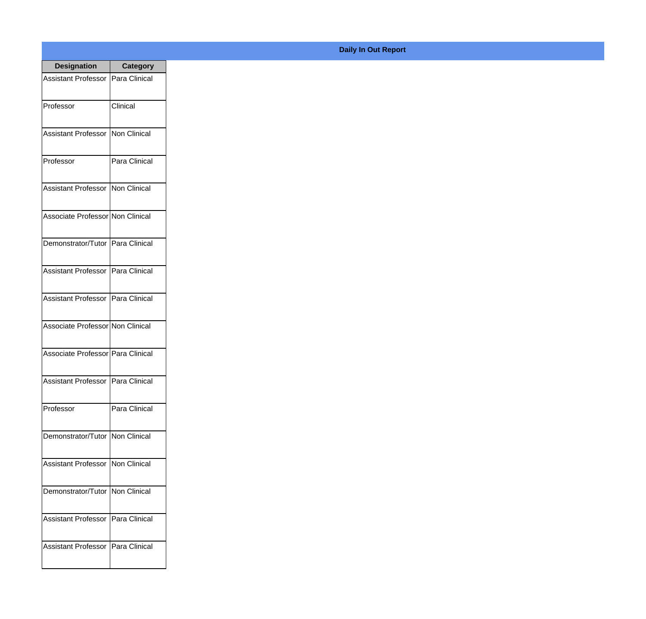| <b>Designation</b>                  | Category      |
|-------------------------------------|---------------|
| Assistant Professor   Para Clinical |               |
| Professor                           | Clinical      |
| <b>Assistant Professor</b>          | Non Clinical  |
| Professor                           | Para Clinical |
| <b>Assistant Professor</b>          | Non Clinical  |
| Associate Professor Non Clinical    |               |
| Demonstrator/Tutor   Para Clinical  |               |
| Assistant Professor   Para Clinical |               |
| <b>Assistant Professor</b>          | Para Clinical |
| Associate Professor Non Clinical    |               |
| Associate Professor   Para Clinical |               |
| Assistant Professor   Para Clinical |               |
| Professor                           | Para Clinical |
| Demonstrator/Tutor   Non Clinical   |               |
| <b>Assistant Professor</b>          | Non Clinical  |
| Demonstrator/Tutor                  | Non Clinical  |
| <b>Assistant Professor</b>          | Para Clinical |
| <b>Assistant Professor</b>          | Para Clinical |

## **Daily In Out Report**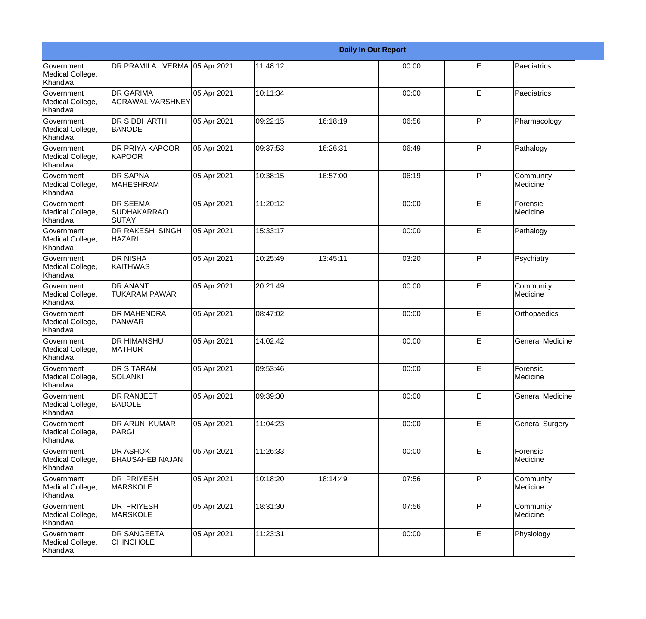|                                                         |                                                       | <b>Daily In Out Report</b> |          |          |       |              |                         |  |
|---------------------------------------------------------|-------------------------------------------------------|----------------------------|----------|----------|-------|--------------|-------------------------|--|
| <b>Government</b><br>Medical College,<br>Khandwa        | DR PRAMILA VERMA 05 Apr 2021                          |                            | 11:48:12 |          | 00:00 | E            | Paediatrics             |  |
| <b>Government</b><br>Medical College,<br>Khandwa        | <b>DR GARIMA</b><br><b>AGRAWAL VARSHNEY</b>           | 05 Apr 2021                | 10:11:34 |          | 00:00 | E            | Paediatrics             |  |
| <b>Government</b><br>Medical College,<br>Khandwa        | <b>DR SIDDHARTH</b><br><b>BANODE</b>                  | 05 Apr 2021                | 09:22:15 | 16:18:19 | 06:56 | P            | Pharmacology            |  |
| Government<br>Medical College,<br>Khandwa               | <b>DR PRIYA KAPOOR</b><br>KAPOOR                      | 05 Apr 2021                | 09:37:53 | 16:26:31 | 06:49 | P            | Pathalogy               |  |
| <b>Government</b><br>Medical College,<br>Khandwa        | <b>DR SAPNA</b><br><b>MAHESHRAM</b>                   | 05 Apr 2021                | 10:38:15 | 16:57:00 | 06:19 | $\mathsf{P}$ | Community<br>Medicine   |  |
| Government<br>Medical College,<br>Khandwa               | <b>DR SEEMA</b><br><b>SUDHAKARRAO</b><br><b>SUTAY</b> | 05 Apr 2021                | 11:20:12 |          | 00:00 | E            | Forensic<br>Medicine    |  |
| Government<br>Medical College,<br>Khandwa               | <b>DR RAKESH SINGH</b><br><b>HAZARI</b>               | 05 Apr 2021                | 15:33:17 |          | 00:00 | E            | Pathalogy               |  |
| Government<br>Medical College,<br>Khandwa               | <b>DR NISHA</b><br>KAITHWAS                           | 05 Apr 2021                | 10:25:49 | 13:45:11 | 03:20 | $\mathsf{P}$ | Psychiatry              |  |
| Government<br>Medical College,<br>Khandwa               | <b>DR ANANT</b><br><b>TUKARAM PAWAR</b>               | 05 Apr 2021                | 20:21:49 |          | 00:00 | E            | Community<br>Medicine   |  |
| <b>Government</b><br>Medical College,<br><b>Khandwa</b> | <b>DR MAHENDRA</b><br>PANWAR                          | 05 Apr 2021                | 08:47:02 |          | 00:00 | E            | Orthopaedics            |  |
| <b>Government</b><br>Medical College,<br>Khandwa        | <b>DR HIMANSHU</b><br><b>MATHUR</b>                   | 05 Apr 2021                | 14:02:42 |          | 00:00 | E            | <b>General Medicine</b> |  |
| Government<br>Medical College,<br>Khandwa               | <b>DR SITARAM</b><br>SOLANKI                          | 05 Apr 2021                | 09:53:46 |          | 00:00 | E            | Forensic<br>Medicine    |  |
| Government<br>Medical College,<br>Khandwa               | <b>DR RANJEET</b><br><b>BADOLE</b>                    | 05 Apr 2021                | 09:39:30 |          | 00:00 | E            | <b>General Medicine</b> |  |
| Government<br>Medical College,<br>Khandwa               | DR ARUN KUMAR<br>PARGI                                | 05 Apr 2021                | 11:04:23 |          | 00:00 | E            | <b>General Surgery</b>  |  |
| Government<br>Medical College,<br>Khandwa               | <b>DR ASHOK</b><br><b>BHAUSAHEB NAJAN</b>             | 05 Apr 2021                | 11:26:33 |          | 00:00 | $\mathsf E$  | Forensic<br>Medicine    |  |
| Government<br>Medical College,<br>Khandwa               | <b>DR PRIYESH</b><br><b>MARSKOLE</b>                  | 05 Apr 2021                | 10:18:20 | 18:14:49 | 07:56 | P            | Community<br>Medicine   |  |
| Government<br>Medical College,<br>Khandwa               | DR PRIYESH<br><b>MARSKOLE</b>                         | 05 Apr 2021                | 18:31:30 |          | 07:56 | $\mathsf{P}$ | Community<br>Medicine   |  |
| Government<br>Medical College,<br>Khandwa               | <b>DR SANGEETA</b><br><b>CHINCHOLE</b>                | 05 Apr 2021                | 11:23:31 |          | 00:00 | E            | Physiology              |  |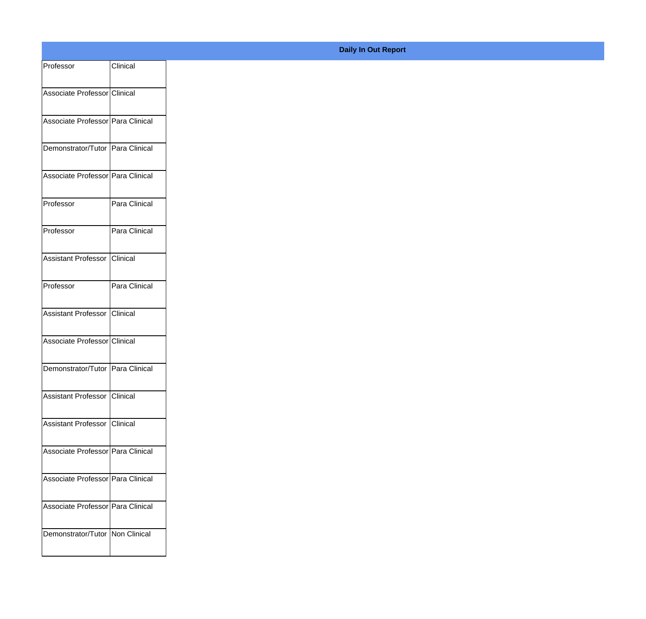| Clinical<br>Associate Professor Clinical<br>Associate Professor   Para Clinical<br>Demonstrator/Tutor Para Clinical<br>Associate Professor Para Clinical |
|----------------------------------------------------------------------------------------------------------------------------------------------------------|
|                                                                                                                                                          |
|                                                                                                                                                          |
|                                                                                                                                                          |
|                                                                                                                                                          |
|                                                                                                                                                          |
|                                                                                                                                                          |
|                                                                                                                                                          |
| Para Clinical                                                                                                                                            |
| Para Clinical                                                                                                                                            |
|                                                                                                                                                          |
| Assistant Professor Clinical                                                                                                                             |
| Para Clinical                                                                                                                                            |
|                                                                                                                                                          |
| Assistant Professor Clinical                                                                                                                             |
| Associate Professor Clinical                                                                                                                             |
| Demonstrator/Tutor Para Clinical                                                                                                                         |
|                                                                                                                                                          |
| Assistant Professor   Clinical                                                                                                                           |
| Assistant Professor Clinical                                                                                                                             |
|                                                                                                                                                          |
| Associate Professor Para Clinical                                                                                                                        |
| Associate Professor Para Clinical                                                                                                                        |
|                                                                                                                                                          |
|                                                                                                                                                          |
| Associate Professor Para Clinical<br>Demonstrator/Tutor   Non Clinical                                                                                   |
|                                                                                                                                                          |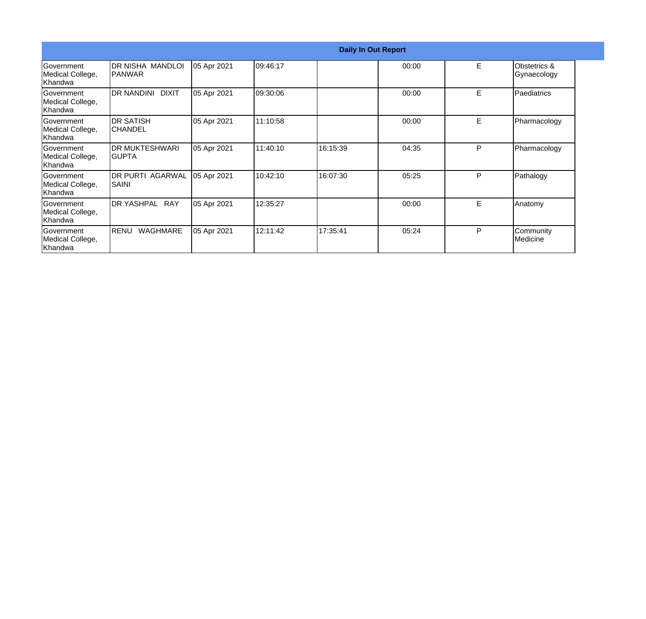|                                                   | <b>Daily In Out Report</b>         |             |           |          |       |   |                                        |  |
|---------------------------------------------------|------------------------------------|-------------|-----------|----------|-------|---|----------------------------------------|--|
| <b>Government</b><br>Medical College,<br> Khandwa | DR NISHA MANDLOI<br><b>IPANWAR</b> | 05 Apr 2021 | 109:46:17 |          | 00:00 | E | <b>Obstetrics &amp;</b><br>Gynaecology |  |
| <b>Government</b><br>Medical College,<br>lKhandwa | <b>DR NANDINI</b><br><b>DIXIT</b>  | 05 Apr 2021 | 09:30:06  |          | 00:00 | E | Paediatrics                            |  |
| <b>Government</b><br>Medical College,<br>Khandwa  | <b>DR SATISH</b><br>ICHANDEL       | 05 Apr 2021 | 11:10:58  |          | 00:00 | E | Pharmacology                           |  |
| <b>Government</b><br>Medical College,<br>Khandwa  | <b>DR MUKTESHWARI</b><br>IGUPTA    | 05 Apr 2021 | 11:40:10  | 16:15:39 | 04:35 | P | Pharmacology                           |  |
| <b>Government</b><br>Medical College,<br>Khandwa  | <b>DR PURTI AGARWAL</b><br>SAINI   | 05 Apr 2021 | 10:42:10  | 16:07:30 | 05:25 | P | Pathalogy                              |  |
| lGovernment<br>Medical College,<br>Khandwa        | <b>I</b> DR YASHPAL<br><b>RAY</b>  | 05 Apr 2021 | 12:35:27  |          | 00:00 | E | Anatomy                                |  |
| lGovernment<br>Medical College,<br>Khandwa        | RENU<br><b>WAGHMARE</b>            | 05 Apr 2021 | 12:11:42  | 17:35:41 | 05:24 | P | Community<br>Medicine                  |  |